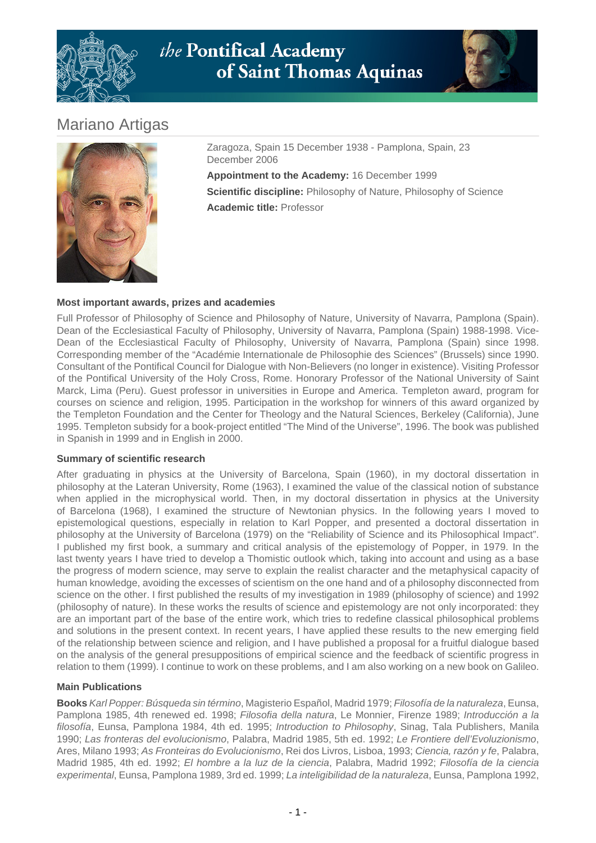



# Mariano Artigas



Zaragoza, Spain 15 December 1938 - Pamplona, Spain, 23 December 2006 **Appointment to the Academy:** 16 December 1999

**Scientific discipline:** Philosophy of Nature, Philosophy of Science **Academic title:** Professor

## **Most important awards, prizes and academies**

Full Professor of Philosophy of Science and Philosophy of Nature, University of Navarra, Pamplona (Spain). Dean of the Ecclesiastical Faculty of Philosophy, University of Navarra, Pamplona (Spain) 1988-1998. Vice-Dean of the Ecclesiastical Faculty of Philosophy, University of Navarra, Pamplona (Spain) since 1998. Corresponding member of the "Académie Internationale de Philosophie des Sciences" (Brussels) since 1990. Consultant of the Pontifical Council for Dialogue with Non-Believers (no longer in existence). Visiting Professor of the Pontifical University of the Holy Cross, Rome. Honorary Professor of the National University of Saint Marck, Lima (Peru). Guest professor in universities in Europe and America. Templeton award, program for courses on science and religion, 1995. Participation in the workshop for winners of this award organized by the Templeton Foundation and the Center for Theology and the Natural Sciences, Berkeley (California), June 1995. Templeton subsidy for a book-project entitled "The Mind of the Universe", 1996. The book was published in Spanish in 1999 and in English in 2000.

#### **Summary of scientific research**

After graduating in physics at the University of Barcelona, Spain (1960), in my doctoral dissertation in philosophy at the Lateran University, Rome (1963), I examined the value of the classical notion of substance when applied in the microphysical world. Then, in my doctoral dissertation in physics at the University of Barcelona (1968), I examined the structure of Newtonian physics. In the following years I moved to epistemological questions, especially in relation to Karl Popper, and presented a doctoral dissertation in philosophy at the University of Barcelona (1979) on the "Reliability of Science and its Philosophical Impact". I published my first book, a summary and critical analysis of the epistemology of Popper, in 1979. In the last twenty years I have tried to develop a Thomistic outlook which, taking into account and using as a base the progress of modern science, may serve to explain the realist character and the metaphysical capacity of human knowledge, avoiding the excesses of scientism on the one hand and of a philosophy disconnected from science on the other. I first published the results of my investigation in 1989 (philosophy of science) and 1992 (philosophy of nature). In these works the results of science and epistemology are not only incorporated: they are an important part of the base of the entire work, which tries to redefine classical philosophical problems and solutions in the present context. In recent years, I have applied these results to the new emerging field of the relationship between science and religion, and I have published a proposal for a fruitful dialogue based on the analysis of the general presuppositions of empirical science and the feedback of scientific progress in relation to them (1999). I continue to work on these problems, and I am also working on a new book on Galileo.

#### **Main Publications**

**Books** Karl Popper: Búsqueda sin término, Magisterio Español, Madrid 1979; Filosofía de la naturaleza, Eunsa, Pamplona 1985, 4th renewed ed. 1998; Filosofia della natura, Le Monnier, Firenze 1989; Introducción a la filosofía, Eunsa, Pamplona 1984, 4th ed. 1995; Introduction to Philosophy, Sinag, Tala Publishers, Manila 1990; Las fronteras del evolucionismo, Palabra, Madrid 1985, 5th ed. 1992; Le Frontiere dell'Evoluzionismo, Ares, Milano 1993; As Fronteiras do Evolucionismo, Rei dos Livros, Lisboa, 1993; Ciencia, razón y fe, Palabra, Madrid 1985, 4th ed. 1992; El hombre a la luz de la ciencia, Palabra, Madrid 1992; Filosofía de la ciencia experimental, Eunsa, Pamplona 1989, 3rd ed. 1999; La inteligibilidad de la naturaleza, Eunsa, Pamplona 1992,